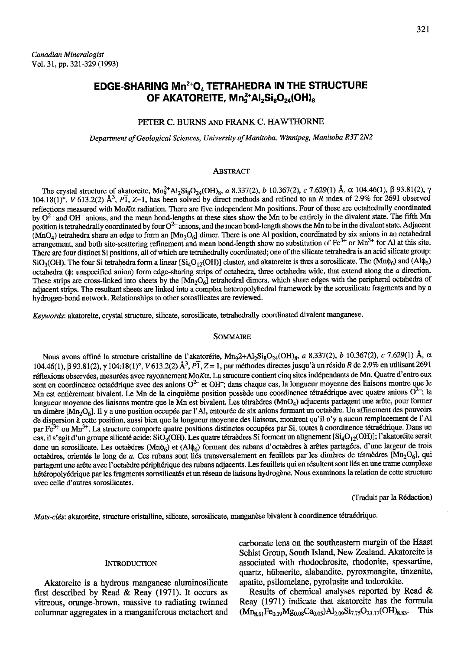# EDGE-SHARING Mn<sup>2+</sup>O<sub>4</sub> TETRAHEDRA IN THE STRUCTURE OF AKATOREITE,  $Mn_a^{2+}Al_2Si_8O_{24}(OH)_8$

# PETER C. BURNS AND FRANK C. HAWTHORNE

Department of Geological Sciences, University of Manitoba, Winnipeg, Manitoba R3T 2N2

### ABSTRACT

The crystal structure of akatoreite,  $\text{Mn}_{9}^{2+}\text{Al}_{2}\text{Si}_{8}\text{O}_{24}(\text{OH})_{8}$ , a 8.337(2), b 10.367(2), c 7.629(1) Å,  $\alpha$  104.46(1),  $\beta$  93.81(2),  $\gamma$  $104.18(1)$ <sup>o</sup>, V 613.2(2) Å<sup>3</sup>, P $\overline{1}$ , Z=1, has been solved by direct methods and refined to an R index of 2.9% for 2691 observed reflections measured with MoK $\alpha$  radiation. There are five independent Mn positions. Four of these are octahedrally coordinated by  $O^{2-}$  and OH<sup>-</sup> anions, and the mean bond-lengths at these sites show the Mn to be entirely in the divalent state. The fifth Mn position is tetrahedrally coordinated by four O<sup>2-</sup> anions, and the mean bond-length shows the Mn to be in the divalent state. Adjacent  $(MnO<sub>4</sub>)$  tetrahedra share an edge to form an  $[Mn<sub>2</sub>O<sub>6</sub>]$  dimer. There is one Al position, coordinated by six anions in an octahedral arrangement, and both site-scattering refinement and mean bond-length show no substitution of  $\text{Fe}^{3+}$  or  $\text{Mn}^{3+}$  for Al at this site. There are four distinct Si positions, all of which are tetrahedrally coordinated; one of the silicate tetrahedra is an acid silicate group:  $SiO_3(OH)$ . The four Si tetrahedra form a linear  $[Si_4O_{12}(OH)]$  cluster, and akatoreite is thus a sorosilicate. The  $(Mn\phi_6)$  and  $(Al\phi_6)$ octahedra ( $\phi$ : unspecified anion) form edge-sharing strips of octahedra, three octahedra wide, that extend along the a direction. These strips are cross-linked into sheets by the  $[Mn_2O_6]$  tetrahedral dimers, which share edges with the peripheral octahedra of adjacent strips. The resultant sheets arc linked into a complex heteropolyhedral framework by the sorosilicate fragments and by a hydrogen-bond network. Relationships to other sorosilicates are reviewed.

Keywords: akatoreite, crystal structure, silicate, sorosilicate, tetrahedrally coordinated divalent manganese.

#### SoMMAIRE

Nous avons affiné la structure cristalline de l'akatoréite, Mn<sub>9</sub>2+A1<sub>2</sub>Si<sub>8</sub>O<sub>24</sub>(OH)<sub>8</sub>, a 8.337(2), b 10.367(2), c 7.629(1) Å,  $\alpha$ 104.46(1), β 93.81(2), γ 104:18(1)°, V 613.2(2)  $\hat{A}^3$ ,  $\hat{P_1}$ , Z = 1, par méthodes directes jusqu'à un résidu R de 2.9% en utilisant 2691 réflexions observées, mesurées avec rayonnement ΜοΚα. La structure contient cinq sites indépendants de Mn. Quatre d'entre eux sont en coordinence octaédrique avec des anions  $O^{2-}$  et OH $^-$ ; dans chaque cas, la longueur moyenne des liaisons montre que le Mn est entièrement bivalent. Le Mn de la cinquième position possède une coordinence tétraédrique avec quatre anions  $O^{2-}$ ; la longueur moyenne des liaisons montre que le Mn est bivalent. Les tétraèdres (MnO<sub>4</sub>) adjacents partagent une arête, pour former un dimère [Mn<sub>2</sub>O<sub>6</sub>]. Il y a une position occupée par l'Al, entourée de six anions formant un octaèdre. Un affinement des pouvoirs de dispersion à cette position, aussi bien que la longueur moyenne des liaisons, montrent qu'il n'y a aucun remplacement de l'Al par Fe<sup>3+</sup> ou Mn<sup>3+</sup>. La structure comporte quatre positions distinctes occupées par Si, toutes à coordinence tétraédrique. Dans un cas, il s'agit d'un groupe silicaté acide: SiO<sub>3</sub>(OH). Les quatre tétraèdres Si forment un alignement [Si<sub>4</sub>O<sub>12</sub>(OH)]; l'akatoréite serait donc un sorosilicate. Les octaèdres (Mn $\phi_6$ ) et (Al $\phi_6$ ) forment des rubans d'octaèdres à arêtes partagées, d'une largeur de trois octaèdres, orientés le long de a. Ces rubans sont liés transversalement en feuillets par les dimères de tétraèdres [Mn<sub>2</sub>O<sub>6</sub>], qui partagent une arête avec l'octaèdre périphérique des rubans adjacents. Les feuillets qui en résultent sont liés en une trame complexe hétéropolyédrique par les fragments sorosilicatés et un réseau de liaisons hydrogène. Nous examinons la relation de cette structure avec celle d'autres sorosilicates.

(Iraduit par la R6daction)

Mots-clés: akatoréite, structure cristalline, silicate, sorosilicate, manganèse bivalent à coordinence tétraédrique.

#### **INTRODUCTION**

Akatoreite is a hydrous manganese aluminosilicate first described by Read & Reay (1971). It occurs as vitreous, orange-brown, massive to radiating twinned colurnnar aggregates in a manganiferous metachert and carbonate lens on the southeastern margin of the Haast Schist Group, South Island, New Zealand. Akatoreite is associated with rhodochrosite, rhodonite, spessartine, quartz, hübnerite, alabandite, pyroxmangite, tinzenite, apatite, psilomelane, pyrolusite and todorokite.

Results of chemical analyses reported by Read & Reay (1971) indicate that akatoreite has the formula<br>( $M_{\text{Box}}$ Fe $_{0.05}$ Mg<sub>0.00</sub>Ca<sub>0.00</sub>)Alogo<sup>5</sup>lzzsO<sub>22.17</sub>(OH)<sub>9.21</sub>. This  $(Mn_{8.61}Fe_{0.19}Mg_{0.08}Ca_{0.05})Al_{2.09}Si_{7.75}O_{23.17}(OH)_{8.83}.$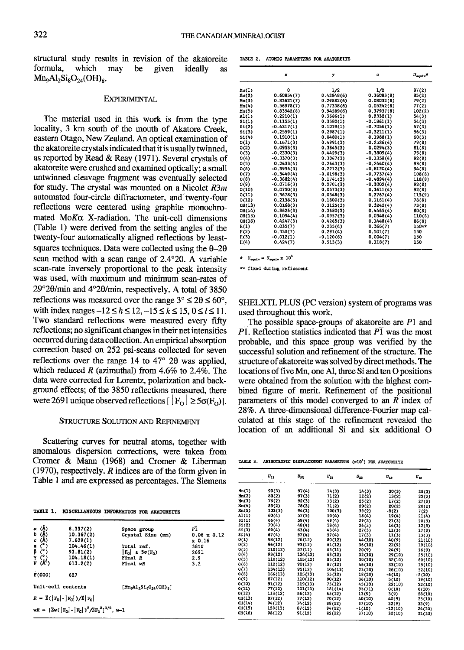structural study results in revision of the akatoreite formula, which may  $Mn<sub>9</sub>Al<sub>2</sub>Si<sub>8</sub>O<sub>24</sub>(OH)<sub>8</sub>$ . be given ideally as

## **EXPERIMENTAL**

The material used in this work is from the type Iocality, 3 km south of the mouth of Akatore Creek, eastern Otago, New Zealand. An optical examination of the akatoreite crystals indicated that it is usually twinned, as reported by Read & Reay (1971). Several crystals of akatoreite were crushed and examined optically; a small untwinned cleavage fragment was eventually selected for study. The crystal was mounted on a Nicolet  $R3m$ automated four-circle diffractometer, and twenty-four reflections were centered using graphite monochromated  $M \circ K \alpha$  X-radiation. The unit-cell dimensions (Table l) were derived from the setting angles of the twenty-four automatically aligned reflections by leastsquares techniques. Data were collected using the  $\theta$ -2 $\theta$ scan method with a scan range of  $2.4^{\circ}2\theta$ . A variable scan-rate inversely proportional to the peak intensity was used, with maximum and minimum scan-rates of  $29^{\circ}20$ /min and  $4^{\circ}20$ /min, respectively. A total of 3850 reflections was measured over the range  $3^{\circ} \le 20 \le 60^{\circ}$ , with index ranges  $-12 \le h \le 12$ ,  $-15 \le k \le 15$ ,  $0 \le l \le 11$ . Two standard reflections were measured every fifty reflections; no significant changes in their net intensities occurred during data collection. An empirical absorption correction based on 252 psi-scans collected for seven reflections over the range 14 to  $47^{\circ}$  20 was applied, which reduced R (azimuthal) from 4.6% to 2.4%. The data were corrected for Lorentz, polarization and background effects; of the 3850 reflections measured, there were 2691 unique observed reflections  $[ |F_{\Omega}| \ge 5\sigma(F_{\Omega})].$ 

# STRUCTURE SOLUTION AND REFINEMENT

Scattering curves for neutral atoms, together with anomalous dispersion corrections, were taken from Cromer & Mann (1968) and Cromer & Liberman (1970), respectively.  $R$  indices are of the form given in Table I and are expressed as percentages. The Siemens

TABLE 1. MISCELLANEOUS INFORMATION FOR AKATOREITE

| α (Å)<br>b (Å)<br>c (Å)                                                                                                                                                                                                                   | 8.337(2)<br>10.367(2)                                                        | Space group<br>Crystal Size (mm) | Ρī<br>$0.06 \times 0.12$ |
|-------------------------------------------------------------------------------------------------------------------------------------------------------------------------------------------------------------------------------------------|------------------------------------------------------------------------------|----------------------------------|--------------------------|
|                                                                                                                                                                                                                                           | 7.629(1)                                                                     |                                  | x0.16                    |
|                                                                                                                                                                                                                                           | 104.46(1)                                                                    | Total ref.                       | 3850                     |
|                                                                                                                                                                                                                                           | 93.81(2)                                                                     | $F_0 \geq 5\sigma(F_0)$          | 2691                     |
|                                                                                                                                                                                                                                           | 104.18(1)                                                                    | Final R                          | 2.9                      |
| $\begin{array}{c}\n\alpha \quad \stackrel{(1)}{\circ} \\ \beta \quad \stackrel{(2)}{\circ} \\ \gamma \quad \stackrel{(3)}{\circ} \\ \gamma \quad \stackrel{(4)}{\circ} \\ \gamma \quad \stackrel{(5)}{\circ} \\ \gamma \quad \end{array}$ | 613,2(2)                                                                     | Final wR                         | 3.2                      |
| F(000)                                                                                                                                                                                                                                    | 627                                                                          |                                  |                          |
| Unit-cell contents                                                                                                                                                                                                                        |                                                                              | $[MqA1_2S1_8O_{24}(OH)_8]$       |                          |
|                                                                                                                                                                                                                                           | $R = \sum ( \mathbf{F}_0  -  \mathbf{F}_C )/\sum  \mathbf{F}_0 $             |                                  |                          |
|                                                                                                                                                                                                                                           | $wR = [\Sigma w (\vert F_0 \vert - \vert F_0 \vert)^2 / 2F_0^2]^{1/2}$ , w-1 |                                  |                          |

TABLE 2. ATOMIC PARAMETERS FOR AKATOREITE

|        | x            | у            | z            | $U_{\text{equity}}$ * |  |  |
|--------|--------------|--------------|--------------|-----------------------|--|--|
| Mn(1)  | ٥            | 1/2          | 1/2          | 87(2)                 |  |  |
| Mn(2)  | 0.60854(7)   | 0.42848(6)   | 0.36083(8)   | 85(2)                 |  |  |
| Mn(3)  | 0.83621(7)   | 0.29882(6)   | 0.08032(8)   | 79(2)                 |  |  |
| Min(4) | 0.56978(7)   | 0.77338(6)   | 0.05242(8)   | 77(2)                 |  |  |
| Mn(5)  | 0.83542(8)   | 0.94289(6)   | 0.37937(8)   | 102(2)                |  |  |
| A1(1)  | 0.2210(1)    | 0.3686(1)    | 0.2332(1)    | 54(3)                 |  |  |
| S1(1)  | 0.1155(1)    | 0.3580(1)    | $-0.1861(1)$ | 54(3)                 |  |  |
| \$1(2) | $-0.4317(1)$ | 0.1019(1)    | $-0.7056(1)$ | 57(3)                 |  |  |
| SL(3)  | $-0.2559(1)$ | 0.2987(1)    | $-0,3211(1)$ | 56(3)                 |  |  |
| \$1(4) | 0.1910(1)    | 0.0480(1)    | 0.1988(1)    | 60(3)                 |  |  |
| 0(1)   | 0.1671(3)    | 0.4991(3)    | $-0.2526(4)$ | 79(8)                 |  |  |
| O(2)   | 0.0953(3)    | 0.3845(3)    | 0.0294(3)    | 81(8)                 |  |  |
| O(3)   | $-0.2330(3)$ | 0.4429(3)    | $-0.3805(4)$ | 75(8)                 |  |  |
| O(4)   | $-0.3370(3)$ | 0.3047(3)    | $-0.1358(4)$ | 92(8)                 |  |  |
| O(5)   | 0.2433(4)    | 0.2643(3)    | $-0.2440(4)$ | 93(8)                 |  |  |
| O(6)   | $-0.3956(3)$ | 0.2212(3)    | $-0.8120(4)$ | 94(8)                 |  |  |
| O(7)   | $-0.3449(4)$ | $-0.0198(3)$ | $-0.7737(4)$ | 108(8)                |  |  |
| O(8)   | $-0.3682(4)$ | 0.1741(3)    | $-0.4894(4)$ | 118(8)                |  |  |
| O(9)   | $-0.0716(3)$ | 0.2701(3)    | $-0,3002(4)$ | 92(8)                 |  |  |
| O(10)  | 0,0750(3)    | 0.0573(3)    | 0.3611(4)    | 92(8)                 |  |  |
| 0(11)  | 0.3678(3)    | 0.0348(3)    | 0.2767(4)    | 115(9)                |  |  |
| O(12)  | 0.2138(3)    | 0.1800(3)    | 0.1161(4)    | 78(8)                 |  |  |
| OH(13) | 0.0168(3)    | 0,3125(3)    | 0.3242(4)    | 73(8)                 |  |  |
| OH(14) | 0.3626(3)    | 0.3680(3)    | 0.4465(4)    | 80(8)                 |  |  |
| OH(15) | 0.1094(4)    | $-0.0957(3)$ | 0.0348(4)    | 110(8)                |  |  |
| OH(16) | 0.4247(3)    | 0.4265(3)    | 0.1448(4)    | 86(8)                 |  |  |
| H(1)   | 0.035(7)     | 0.235(4)     | 0.366(7)     | 150**                 |  |  |
| H(2)   | 0.330(7)     | 0.291(4)     | 0.501(7)     | 150                   |  |  |
| H(3)   | $-0.012(1)$  | $-0.120(6)$  | 0.004(7)     | 150                   |  |  |
| H(4)   | 0.424(7)     | 0.513(3)     | 0.118(7)     | 150                   |  |  |

\*  $U_{\text{equiv}} = U_{\text{equiv}} \times 10^4$ 

\*\* fixed during refinement

SHELXTL PLUS (PC version) system of programs was used throughout this work.

The possible space-groups of akatoreite are  $P1$  and  $\overline{P1}$ . Reflection statistics indicated that  $\overline{P1}$  was the most probable, and this space group was verified by the successful solution and refinement of the structure. The structure of akatoreite was solved by direct methods. The locations of five Mn, one Al, three Si and ten O positions were obtained from the solution with the highest combined figure of merit. Refinement of the positional parameters of this model converged to an  $\overline{R}$  index of 28%. A three-dimensional difference-Fourier map calculated at this stage of the refinement revealed the location of an additional Si and six additional O

TABLE 3. ANISOTROPIC DISPLACEMENT PARAMETERS (x10<sup>4</sup>) FOR AKATORRITE

|                     | $U_{11}$ | $v_{22}$ | $U_{33}$ | $U_{22}$ | $U_{13}$  | $U_{12}$ |
|---------------------|----------|----------|----------|----------|-----------|----------|
| Mn(1)               | 90(3)    | 97(4)    | 74(3)    | 14(3)    | 30(3)     | 28(3)    |
| Min(2)              | 80(2)    | 97(3)    | 71(2)    | 12(2)    | 13(2)     | 22(2)    |
| Min(3)              | 76(2)    | 92(3)    | 73(2)    | 25(2)    | 17(2)     | 27(2)    |
| Min(4)              | 83(2)    | 78(3)    | 71(2)    | 20(2)    | 20(2)     | 20(2)    |
| Kn(5)               | 103(3)   | 94(3)    | 100(3)   | 39(2)    | $-8(2)$   | 7(2)     |
| AI(1)               | 60(4)    | 57(5)    | 50(4)    | 18(4)    | 19(4)     | 21(4)    |
| \$1(1)              | 66(4)    | 59(4)    | 49(4)    | 29(3)    | 21(3)     | 20(3)    |
| \$1(2)\$            | 70(4)    | 48(4)    | 58(4)    | 26(3)    | 14(3)     | 12(3)    |
| SL(3)               | 69(4)    | 63(4)    | 43(4)    | 27(3)    | 11(3)     | 17(3)    |
| \$1(4)              | 67(4)    | 57(4)    | 57(4)    | 17(3)    | 11(3)     | 13(3)    |
| O(1)                | 98(12)   | 76(12)   | 80(12)   | 44(10)   | 40(9)     | 21(10)   |
| O(2)                | 96(12)   | 93(12)   | 61(12)   | 36(10)   | 22(9)     | 19(10)   |
| O(3)                | 110(12)  | 57(11)   | 63(11)   | 20(9)    | 24(9)     | 26(9)    |
| O(4)                | 93(12)   | 124(13)  | 63(12)   | 32(10)   | 29(10)    | 25(10)   |
| O(5)                | 110(12)  | 105(12)  | 85(12)   | 30(10)   | 32(10)    | 60(10)   |
| O(6)                | 112(12)  | 90(12)   | 87(12)   | 46(10)   | 33(10)    | 15(10)   |
| O(7)                | 134(13)  | 95(12)   | 104(13)  | 23(10)   | 26(10)    | 52(10)   |
| O(8)                | 166(13)  | 105(13)  | 55(12)   | 18(10)   | $-6(10)$  | $-2(10)$ |
| O(9)                | 87(12)   | 110(12)  | 90(12)   | 36(10)   | 5(10)     | 39(10)   |
| O(10)               | 91(12)   | 119(13)  | 75(12)   | 45(10)   | 22(10)    | 22(10)   |
| O(11)               | 77(12)   | 101(13)  | 181(14)  | 93(11)   | 0(10)     | O(10)    |
| O(12)               | 113(12)  | 56(12)   | 65(12)   | 13(9)    | 3(9)      | 28(10)   |
| OH(13)              | 87(12)   | 77(12)   | 70(12)   | 40(10)   | 40(9)     | 25(10)   |
| OH(14)              | 94(12)   | 74(12)   | 88(12)   | 37(10)   | 22(9)     | 33(9)    |
| O <sub>H</sub> (15) | 128(13)  | 87(12)   | 94(12)   | $-1(10)$ | $-12(10)$ | 24(10)   |
| OH(16)              | 98(12)   | 91(12)   | 82(12)   | 37(10)   | 30(10)    | 31(10)   |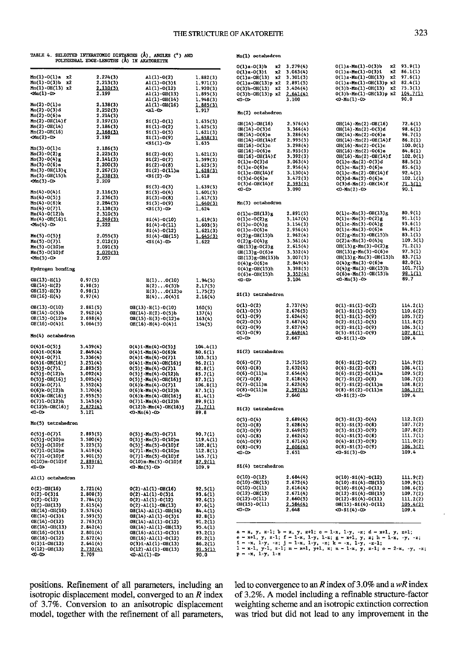|                                                               | TABLE 4. SELECTED INTERATOMIC DISTANCES (Å).<br>POLYHEDRAL EDGE-LENGTHS (A) IN AKATOREITE | ANGLES (°) AND                                                                         |                          |
|---------------------------------------------------------------|-------------------------------------------------------------------------------------------|----------------------------------------------------------------------------------------|--------------------------|
| $Mn(1)-O(1)a$<br>x2                                           | 2.274(3)                                                                                  | $AL(1)-O(2)$                                                                           | 1.882(3)                 |
| $Mn(1)-O(3)$ b<br>x2                                          | 2.213(3)                                                                                  | $AI(1) - O(3)1$                                                                        | 1.971(3)                 |
| $Min(1) - OH(13)$ x2                                          | 2.110(3)                                                                                  | A1(1)-0(12)                                                                            | 1.920(3)                 |
| $Mn(1)-0$                                                     | 2.199                                                                                     | $AI(1) - OH(13)$                                                                       | 1.895(3)                 |
|                                                               |                                                                                           | $AL(1)-OH(14)$                                                                         | 1.948(3)                 |
| Mn(2)-0(1)c<br>Mn(2)-0(3)d                                    | 2.138(3)                                                                                  | $A1(1) - OH(16)$                                                                       | .885(3)                  |
|                                                               | 2,252(3)                                                                                  | $41-0$                                                                                 | 1.917                    |
| $Mn(2)-O(6)$ e<br>$Mn(2) - OH(14) f$                          | 2.214(3)<br>2.197(3)                                                                      |                                                                                        |                          |
| $Mn(2) - OH(14)$                                              | 2.186(3)                                                                                  | $S1(1)-O(1)$<br>$S1(1)-O(2)$                                                           | 1.635(3)                 |
| $Mn(2) - OH(16)$                                              |                                                                                           | $SL(1) - O(5)$                                                                         | 1.625(3)<br>1.621(3)     |
|                                                               | $2.168(3)$<br>2.192                                                                       | $SL(1) - O(9)$                                                                         | 1.658(3)                 |
|                                                               |                                                                                           | $<$ Si(1)-0>                                                                           | 1.635                    |
| $Mn(3)-O(1)c$                                                 | 2.186(3)                                                                                  |                                                                                        |                          |
| $Mn(3) - O(2)g$                                               | 2.225(3)                                                                                  | $SL(2) - O(6)$                                                                         | 1.621(3)                 |
| $Min(3)-O(4)g$                                                | 2.141(3)                                                                                  | $S1(2)-O(7)$                                                                           | 1.599(3)                 |
| $Min(3)-O(6)$ e                                               | 2.200(3)                                                                                  | $$1(2)-0(8)$                                                                           | 1.623(3)                 |
| $Mn(3) - OH(13)q$                                             | 2,267(3)                                                                                  | $S1(2) - O(11)n$                                                                       | 1.628(3)                 |
| $Mn(3) - OH(15)h$                                             | $2.238(3)$<br>2.209                                                                       | $<$ S1(2)-0>                                                                           | 1.618                    |
| $\sin(3) - 0$                                                 |                                                                                           |                                                                                        |                          |
|                                                               |                                                                                           | $S1(3) - O(3)$                                                                         | 1.639(3)                 |
| Mn(4)-0(4)i                                                   | 2.116(3)                                                                                  | $\frac{1}{1}$ (3) -0(4)<br>S1(3) -0(8)                                                 | $1.601(3)$<br>$1.617(3)$ |
| $Mn(4)-O(5)$ j<br>$Mn(4) - O(6)k$                             | 2.236(3)                                                                                  |                                                                                        |                          |
| Mn(4)-0(7)1                                                   | 2.284(3)<br>2.138(3)                                                                      | $$1(3)-0(9)$<br>$<$ S1(3) - 0>                                                         | 1.640(3)<br>1.624        |
| $Mn(4) - O(12)h$                                              | 2.310(3)                                                                                  |                                                                                        |                          |
| $Min(4) - OH(16)$ i                                           | 2.249(3)                                                                                  | $$1(4)-0(10)$                                                                          | 1.619(3)                 |
| $\sin(4) - \cos$                                              | 2.222                                                                                     | $$1(4)-0(11)$                                                                          | 1,603(3)                 |
|                                                               |                                                                                           | $$1(4)-0(12)$                                                                          | 1.621(3)                 |
| $Mn(5) - O(5)$                                                | 2.055(3)                                                                                  | $SL(4)$ -OH $(15)$                                                                     | 1.645(3)                 |
| $Mn(5)-O(7)1$                                                 | 2.012(3)                                                                                  | $<$ S1(4)-0>                                                                           | 1.622                    |
| $Mn(5)-O(10)m$                                                | 2.091(3)                                                                                  |                                                                                        |                          |
| $Mn(5) - O(10) f$                                             | 2.070(3)                                                                                  |                                                                                        |                          |
| $Mn(5) - 0$                                                   | 2.057                                                                                     |                                                                                        |                          |
| Hydrogen bonding                                              |                                                                                           |                                                                                        |                          |
| OH(13)-H(1)                                                   | 0.97(5)                                                                                   | H(1)O(10)                                                                              | 1.94(5)                  |
|                                                               | 0.98(5)                                                                                   | H(2)O(5)b                                                                              | 2.17(5)                  |
| OH(14)-H(2)<br>OH(15)-H(3)                                    | 0.98(1)                                                                                   | $H(3) \ldots 0(12)$ o                                                                  | 1.75(2)                  |
| OH(16)-H(4)                                                   | 0.97(4)                                                                                   | $H(4) \ldots 0(4)$ i                                                                   | 2.16(4)                  |
|                                                               |                                                                                           |                                                                                        |                          |
| OH(13)-0(10)                                                  | 2.881(5)                                                                                  | OH(13)-H(1)-O(10)                                                                      | 160(5)                   |
| $OH(14)-O(5)$ b                                               | 2.962(4)                                                                                  | $OH(14) - H(2) - O(5)$ b                                                               | 137(4)                   |
| OH(15)-0(12)o                                                 | 2.698(4)                                                                                  | $OH(15) - H(3) - O(12)$ o                                                              | 163(4)                   |
| $OH(16)-O(4)1$                                                | 3.064(5)                                                                                  | OH(16)-H(4)-O(4)i                                                                      | 154(5)                   |
| Mn(4) octahedron                                              |                                                                                           |                                                                                        |                          |
|                                                               |                                                                                           |                                                                                        |                          |
| $0(4)1 - 0(5)$ j                                              | 3.439(4)                                                                                  | $0(4)1-Mn(4)-0(5)$                                                                     | 104.4(1)                 |
| $0(4)1 - 0(6)k$                                               | 2.849(4)                                                                                  | $0(4)1-Mn(4)-0(6)k$                                                                    | 80.6(1)                  |
| $0(4)1 - 0(7)1$                                               | 3,336(4)<br>3.251(4)                                                                      | $0(4)1 - \text{Min}(4) - 0(7)1$<br>$0(4)1 - Mn(4) - OH(16)$                            | 103.3(1)<br>96.2(1)      |
| $0(4)1-0H(16)$                                                | 2.893(5)                                                                                  |                                                                                        |                          |
| $0(5)j-0(7)1$<br>0(5)j-0(12)h<br>0(5)j-0H(16)j<br>0(6)k-0(7)1 | 3.092(4)                                                                                  | $0(5)j$ -Mn(4)-0(7)1<br>0(5)j-Mn(4)-0(12)h<br>0(5)j-Mn(4)-0H(16)j<br>0(6)k-Mn(4)-0(7)1 | 82.8(1)<br>85.7(1)       |
|                                                               | 3.095(4)                                                                                  |                                                                                        | 87.3(1)                  |
|                                                               | 3.552(4)                                                                                  |                                                                                        | 106.8(1)                 |
| $0(6)$ k- $0(12)$ h                                           | 3.170(4)                                                                                  | $0(6)$ k-Mn $(4)$ -O $(12)$ h                                                          | 87.3(1)                  |
| $0(6)$ k-OH $(16)$ j                                          | 2.955(5)                                                                                  | $0(6)k-Mn(4) -OH(16)j$                                                                 | 81.4(1)                  |
| $0(7)1 - 0(12)h$                                              | 3.143(4)                                                                                  | $0(7)1-Mn(4)-0(12)h$                                                                   | 89.9(1)                  |
| $O(12)h - OH(16)$                                             | 2.672(4)                                                                                  | $O(12)h-Mn(4)-OH(16)$ j                                                                | <u>n mi</u>              |
| $40 - 0$                                                      | 3.121                                                                                     | $<0-Mn(4)-0>$                                                                          | 89.8                     |
| Mn(5) tetrahedron                                             |                                                                                           |                                                                                        |                          |
| $0(5)$ j-0(7)1                                                | 2.893(5)                                                                                  | $0(5)$ j-Mn $(5)$ -0 $(7)1$                                                            | 90.7(1)                  |
|                                                               | 3.580(4)                                                                                  |                                                                                        |                          |
| $0(5)$ j-0(10)m<br>0(5)j-0(10)f                               | 3.223(3)                                                                                  | $0(5) j-Mn(5) - 0(10)n$<br>0(5) j-Mn(5) - 0(10) f<br>0(7) 1-Mn(5) - 0(10) m            | 119.4(1)<br>102.8(1)     |
| $O(7)1 - O(10)$ m                                             | 3,419(4)                                                                                  |                                                                                        | 112.8(1)                 |
| 0(7)1-0(10)f                                                  | 3.901(5)                                                                                  | $0(7)1-Mn(5)-0(10)$ f                                                                  |                          |
| $0(10)$ m- $0(10)$ f                                          | 2.889(6)                                                                                  | $O(10)$ m-Mn $(5)$ - $O(10)$ f                                                         | 145.7(1)<br>87.9(1)      |
| ⊲০-০>                                                         | 3.317                                                                                     | $<0$ -Mn(5)-0>                                                                         | 109.9                    |
| Al(1) octahedron                                              |                                                                                           |                                                                                        |                          |
| $O(2) - OH(16)$                                               | 2.721(4)                                                                                  | $O(2) - A1(1) - OH(16)$                                                                | 92.5(1)                  |
| $0(2) - 0(3)1$                                                | 2.808(3)                                                                                  | $0(2) - A1(1) - 0(3)1$                                                                 |                          |
| $0(2)-0(12)$                                                  | 2.784(5)                                                                                  | $0(2) - A1(1) - 0(12)$                                                                 | 93.6(1)<br>92.6(1)       |
| $O(2) - OH(13)$                                               | 2.615(4)                                                                                  | $O(2) - A1(1) - OH(13)$                                                                | 87.6(1)                  |
| OH(14)-OH(16)                                                 | 2.576(4)                                                                                  | OH(14)-Al(1)-OH(16)                                                                    |                          |
| $OH(14)-O(3)1$                                                | 2.593(5)                                                                                  | $OH(14)-Al(1)-O(3)1$                                                                   | 84.4(1)<br>82.8(1)       |
| OH(14)-0(12)                                                  | 2.763(3)                                                                                  | $OH(14) - Al(1) - O(12)$                                                               | 91.2(1)                  |
| OH(14)-OH(13)                                                 | 2.842(4)                                                                                  |                                                                                        | 95.4(1)                  |
| $OH(16)-O(3)1$                                                | 2.801(4)                                                                                  | $OH(14) - Al(1) - OH(13)$<br>OH(16)-Al(1)-O(3)1                                        | 93.2(1)                  |
| OH(16)-O(12)                                                  | 2.672(4)                                                                                  | $OH(16) - Al(1) - O(12)$                                                               | 89.2(1)                  |
| $0(3)$ i-OH(13)                                               | 2.641(4)                                                                                  | $O(3)1-A1(1)-OH(13)$                                                                   | 86.2(1)                  |
| $O(12) - OH(13)$                                              | 2.732(4)                                                                                  | $O(12) - A1(1) - OH(13)$                                                               | 91.5(1)                  |
| $-0.0$                                                        | 2.709                                                                                     | $\ddot{\sim}$ -A1(1)-0>                                                                | 90.0                     |

| Mn(1) octahedron                   |                      |                                                               |                        |
|------------------------------------|----------------------|---------------------------------------------------------------|------------------------|
| $0(1)a - 0(3)b$<br>x2              | 3.279(4)             | $0(1)a$ -Mn $(1)$ -0(3)b<br>x2                                | 93.9(1)                |
| $0(1)a - 0(3)1$<br>$\times 2$      | 3.063(4)             | $O(1)a$ -Mn $(1)$ -O $(3)1$<br>x2                             | 86.1(1)                |
| x2<br>$O(1)a-OH(13)$               | 3.301(3)             | x <sub>2</sub><br>$O(1)a$ -Mn $(1)$ -OH $(13)$                | 97.6(1)                |
| $O(1)a-OH(13)p x2$                 | 2.891(5)             | $O(1)a-Mn(1)-OH(13)p x2$<br>x2                                | 82.4(1)                |
| $0(3)b - OH(13)$ x2                | 3.424(4)<br>2.641(4) | $O(3)$ b-Mn $(1)$ -OH $(13)$<br>$O(3) b - Mn(1) - OH(13)p$ x2 | 75.3(1)<br>104.7(1)    |
| $0(3)$ b-OH $(13)$ p x2<br>$<0-0$  | 3.100                | $<0$ -Mn(1)-0>                                                | 90.0                   |
|                                    |                      |                                                               |                        |
| Mn(2) octahedron                   |                      |                                                               |                        |
| OH(14)-OH(16)                      | 2.576(4)             | $OH(14) - Mn(2) - OH(16)$                                     | 72.6(1)                |
| OH(14)-O(3)d<br>$OH(14)-O(6)$ e    | 3.366(4)<br>3.286(4) | OH(14)-Mn(2)-O(3)d<br>$OH(14) - Mn(2) - O(6)$ e               | 98.6(1)                |
| OH(14)-OH(14)f                     | 2.995(5)             | $OH(14) - Mn(2) - OH(14) f$                                   | $96.7(1)$<br>$86.2(1)$ |
| $OH(16)-O(1)c$                     | 3.298(4)             | $OH(16) - Mn(2) - O(1)c$                                      | 100.0(1)               |
| OH(16)-O(6)e                       | 2.955(5)             | $OH(16) - Mn(2) - O(6)$ e                                     | 84.8(1)                |
| OH(16)-OH(14)f                     | 3,392(3)             | OH(16)-Mn(2)-OH(14)f                                          | 102.0(1)               |
| $0(1)c - 0(3)d$                    | 3.063(4)             | $0(1)c$ -Mn $(2)$ -0(3)d                                      | 88.5(1)                |
| $0(1)c-0(6)e$                      | 2.956(4)             | $0(1)c$ -Mn $(2)$ -0(6)e                                      | 85.6(1)                |
| $0(1)c - 0H(14)$ f                 | 3.130(4)             | $0(1)c$ -Mn $(2)$ -OH $(14)f$                                 | 92.4(1)                |
| 0(3)d-0(6)e                        | 3.472(3)             | $0(3)d-Mn(2)-0(6)e$                                           | 102.1(1)               |
| 0(3)d-0H(14)f<br>-0-0              | 2.593(5)             | $0(3)d-Mn(2) - OH(14) f$                                      | 71.3(1)                |
|                                    | 3.090                | $<$ 0-Mn(2)-0>                                                | 90.1                   |
| Mn(3) octahedron                   |                      |                                                               |                        |
| $0(1)c$ -OH $(13)g$                | 2.891(5)             | $0(1)c$ -Mn $(3)$ -OH $(13)g$                                 | 80.9(1)                |
| $O(1)c - O(2)g$                    | 3.147(4)<br>3.154(3) | $0(1)c-Mn(3)-0(2)g$<br>$0(1)c$ -Mn $(3)$ - $0(4)g$            | 91.1(1)<br>93.6(1)     |
| $0(1)c - 0(4)g$<br>$0(1)c - 0(6)a$ | 2.956(4)             | $0(1)c$ -Mn $(3)$ -0(6)e                                      | 84.8(1)                |
| 0(2)g-0H(15)h                      | 2.962(4)             | $O(2)g-Mn(3)-OH(15)h$                                         | 83.1(1)                |
|                                    | 3.561(4)             | $0(2)a$ -Mn(3)-0(4)q                                          | 109.3(1)               |
| $0(2)g-0(4)g$<br>OH(13)g-0(2)g     | 2.615(4)             | $OH(13)g-Mn(3)-O(2)g$                                         | 71.2(1)                |
| OH(13)g-O(6)e                      | 3,352(4)             | $OH(13)g-Hn(3)-O(6)$ e                                        | 97.3(1)                |
|                                    | 3.007(3)             | OH(13)g-Mn(3)-OH(15)h                                         | 83.7(1)                |
| OH(13)g-OH(15)h<br>O(4)g-O(6)e     | 2.849(4)             | $0(4)$ g-Mn $(3)$ -0(6)e                                      | 82.0(1)<br>101.7(1)    |
| 0(4)g-0H(15)h                      | 3.398(5)             | $O(4)g-Mn(3) -OH(15)h$<br>$0(6)e$ -Mn $(3)$ -OH $(15)h$       | <u>98.1(1)</u>         |
| $0(6)e-OH(15)h$<br>⊲റ-ത            | 3.352(4)<br>3.104    | $<0-Mn(3)-0>$                                                 | 89.7                   |
| Si(1) tetrahedron                  |                      |                                                               |                        |
| $0(1) - 0(2)$                      | 2.737(4)             | $0(1) - S1(1) - 0(2)$                                         | 114.2(1)               |
| $0(1) - 0(5)$                      | 2.676(5)             | $0(1) - S1(1) - 0(5)$                                         |                        |
| $0(1) - 0(9)$                      | 2.624(4)             | $0(1)-S1(1)-0(9)$                                             | 110.6(2)<br>105.7(2)   |
| $0(2) - 0(5)$                      | 2.687(4)             | $0(2)-S1(1)-0(5)$                                             | 111.8(2)               |
| $0(2) - 0(9)$                      | 2.627(4)             | $0(2) - S1(1) - 0(9)$<br>0(5)-S1(1)-0(9)                      | 106.3(1)               |
| $0(5)-0(9)$                        | 2.649(4)             |                                                               | 107.8(1)               |
| $40 - 0$                           | 2.667                | $<0-51(1)-0>$                                                 | 109.4                  |
| Si(2) tetrahedron                  |                      |                                                               |                        |
| 0(6)-0(7)                          | 2.715(5)             | $0(6) - S1(2) - 0(7)$                                         | 114,9(2)               |
| $0(6) - 0(8)$                      | 2.632(4)             | $0(6) - S1(2) - 0(8)$                                         | 108.4(1)               |
| $0(6) - 0(11)m$                    | 2.654(4)             | $0(6) - S1(2) - 0(11)$ m                                      | 109.5(2)               |
| $0(7) - 0(8)$                      | 2.618(4)             | $0(7) - S1(2) - 0(8)$                                         | 108.7(2)               |
| $0(7) - 0(11)m$<br>$O(8)-O(11)m$   | 2.623(4)<br>2.597(4) | $0(7) - S1(2) - 0(11)$ m<br>$O(8) - S1(2) - O(11)\pi$         | 108.8(2)<br>106.1(2)   |
| <0-0>                              | 2.640                | $<0-51(2)-0>$                                                 | 109.4                  |
| Si(3) tetrahedron                  |                      |                                                               |                        |
| $0(3) - 0(4)$                      | 2.689(4)             | $0(3)-S1(3)-0(4)$                                             | 112.2(2)               |
| $O(3)-O(8)$                        | 2.628(4)             | $0(3) - S1(3) - 0(8)$                                         | 107.7(2)               |
| $0(3) - 0(9)$                      | 2.649(5)             | $0(3) - S1(3) - 0(9)$                                         | 107.8(2)               |
| $0(4) - 0(8)$                      | 2.662(4)             | $0(4) - S1(3) - 0(8)$                                         | 111.7(1)               |
| $0(4)-0(9)$                        | 2.671(4)             | $O(4) - S1(3) - O(9)$                                         | 111.0(2)               |
| $0(8) - 0(9)$<br><0-0>             | 2.606(4)<br>2.651    | $O(8) - S1(3) - O(9)$<br>$<0-S1(3)-0>$                        | 106.3(2)<br>109.4      |
| Si(4) tetrahedron                  |                      |                                                               |                        |
| $0(10) - 0(12)$                    | 2.684(4)             | $O(10) - S1(4) - O(12)$                                       | 111.9(2)               |
| $O(10) - OH(15)$                   | 2.672(4)             | $O(10) - S1(4) - OH(15)$                                      | 109.9(1)               |
| $0(10) - 0(11)$                    | 2.616(4)             | $0(10) - 81(4) - 0(11)$                                       | 108.6(2)               |
| $O(12) - OH(15)$                   | 2.671(4)             | $0(12) - S1(4) - OB(15)$                                      | 109.7(2)               |
| $0(12)-0(11)$                      | 2.660(5)             | $0(12) - S1(4) - 0(11)$                                       | 111.2(2)               |
| OH(15)-0(11)                       | 2.584(4)<br>2.648    | OH(15)-Si(4)-O(11)<br>$<0.51(4)-0>$                           | 105.4(2)<br>109.4      |
| <0-0>                              |                      |                                                               |                        |

- - -, *y*,  $z-1$ ;  $\bar{r}$ ,  $\bar{r}$ ,  $\bar{r}$ ,  $\bar{r}$ ,  $\bar{r}$ ,  $\bar{r}$ ,  $\bar{r}$ ,  $\bar{r}$ ,  $\bar{r}$ ,  $\bar{r}$ ,  $\bar{r}$ ,  $\bar{r}$ ,  $\bar{r}$ ,  $\bar{r}$ ,  $\bar{r}$ ,  $\bar{r}$ ,  $\bar{r}$ ,  $\bar{r}$ ,  $\bar{r}$ ,  $\bar{r}$ ,  $\bar{r}$ ,  $\bar{r}$ ,  $\bar{$ 

positions. Refinement of all parameters, including an isotropic displacement model, converged to an  $R$  index of 3.7%. Conversion to an anisotropic displacement model, together with the refinement of all parameters,

led to convergence to an  $R$  index of 3.0% and a  $wR$  index of 3.2%. A model including a refinable structure-factor weighting scheme and an isotropic extinction correction was tried but did not lead to any improvement in the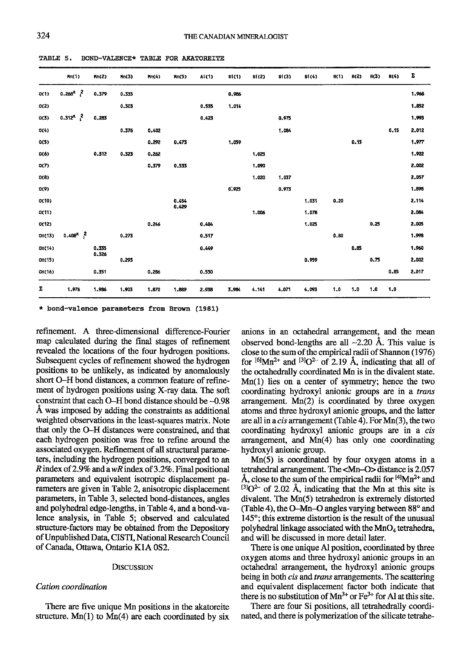|         | Mn(1)                 | Mn(2)          | Ans(3) | Mn(4) | Mn(5)          | AL(1) | s(1)  | s(2)  | \$1(3) | \$1(4) | H(1) | K(2) | H(3) | H(4) | Σ     |
|---------|-----------------------|----------------|--------|-------|----------------|-------|-------|-------|--------|--------|------|------|------|------|-------|
| O(1)    | $0.268^{x}$ $^{2}$    | 0.379          | 0.335  |       |                |       | 0.986 |       |        |        |      |      |      |      | 1.968 |
| O(2)    |                       |                | 0.303  |       |                | 0.535 | 1.014 |       |        |        |      |      |      |      | 1.852 |
| O(3)    | $0.312^{X}$ $^{2}$    | 0.283          |        |       |                | 0.423 |       |       | 0.975  |        |      |      |      |      | 1.993 |
| O(4)    |                       |                | 0.376  | 0,402 |                |       |       |       | 1.084  |        |      |      |      | 0.15 | 2.012 |
| O(5)    |                       |                |        | 0.292 | 0.473          |       | 1,059 |       |        |        |      | 0.15 |      |      | 1.977 |
| O(6)    |                       | 0.312          | 0.323  | 0.262 |                |       |       | 1.025 |        |        |      |      |      |      | 1.922 |
| 0(7)    |                       |                |        | 0,379 | 0.533          |       |       | 1,090 |        |        |      |      |      |      | 2.002 |
| O(8)    |                       |                |        |       |                |       |       | 1.020 | 1.037  |        |      |      |      |      | 2.057 |
| O(9)    |                       |                |        |       |                |       | 0.925 |       | 0.973  |        |      |      |      |      | 1.898 |
| O(10)   |                       |                |        |       | 0.454<br>0.429 |       |       |       |        | 1.031  | 0.20 |      |      |      | 2.114 |
| O(11)   |                       |                |        |       |                |       |       | 1.006 |        | 1.078  |      |      |      |      | 2.084 |
| O(12)   |                       |                |        | 0.246 |                | 0.484 |       |       |        | 1.025  |      |      | 0.25 |      | 2.005 |
| OR(13)  | $0.408^{\chi}$ $^{2}$ |                | 0.273  |       |                | 0.517 |       |       |        |        | 0.80 |      |      |      | 1,998 |
| OII(14) |                       | 0.335<br>0.326 |        |       |                | 0.449 |       |       |        |        |      | 0.85 |      |      | 1.960 |
| OI(15)  |                       |                | 0.293  |       |                |       |       |       |        | 0.959  |      |      | 0.75 |      | 2.002 |
| OH(16)  |                       | 0.351          |        | 0.286 |                | 0.530 |       |       |        |        |      |      |      | 0.85 | 2.017 |
| Σ       | 1.976                 | 1.986          | 1,903  | 1.870 | 1,889          | 2.938 | 3.984 | 4.141 | 4,071  | 4,093  | 1.0  | 1.0  | 1.0  | 1.0  |       |

TABLE 5. BOND-VALENCE\* TABLE FOR AKATOREITE

\* bond-valence parameters from Brown (1981)

refinement. A three-dimensional difference-Fourier map calculated during the final stages of refinement revealed the locations of the four hydrogen positions. Subsequent cycles of refinement showed the hydrogen positions to be unlikely, as indicated by anomalously short O-H bond distances, a common feature of refinement of hydrogen positions using X-ray data. The soft constraint that each O-H bond distance should be ~0.98 A was imposed by adding the constraints as additional weighted observations in the least-squares matrix. Note that only the O-H distances were constrained, and that each hydrogen position was free to refine around the associated oxygen. Refinement of all structural parameters, including the hydrogen positions, converged to an R index of 2.9% and a  $wR$  index of 3.2%. Final positional parameters and equivalent isotropic displacement parameters are given in Table 2, anisotropic displacement parameters, in Table 3, selected bond-distances, angles and polyhedral edge-lengths, in Table 4, and a bond-valence analysis, in Table 5; observed and calculated structure-factors may be obtained from the Depository of Unpublished Data, CISTI, National Research Council of Canada, Ottawa, Ontario K1A 0S2.

## **DISCUSSION**

## Cation coordination

There are five unique Mn positions in the akatoreite structure.  $Mn(1)$  to  $Mn(4)$  are each coordinated by six

anions in an octahedral arrangement, and the mean observed bond-lengths are all  $\sim$ 2.20 Å. This value is close to the sum of the empirical radii of Shannon (1976) for  $[6]$ Mn<sup>2+</sup> and  $[3]$ O<sup>2-</sup> of 2.19 Å, indicating that all of the octahedrally coordinated Mn is in the divalent state.  $Mn(1)$  lies on a center of symmetry; hence the two coordinating hydroxyl anionic groups are in a *trans* arrangement.  $Mn(2)$  is coordinated by three oxygen atoms and three hydroxyl anionic groups, and the latter are all in a *cis* arrangement (Table 4). For Mn(3), the two coordinating hydroxyl anionic groups are in a cis arrangement, and Mn(4) has only one coordinating hydroxyl anionic group.

 $Mn(5)$  is coordinated by four oxygen atoms in a tetrahedral arrangement. The <Mn-O> distance is 2.057 Å, close to the sum of the empirical radii for  $^{[4]}Mn^{2+}$  and  $[3]$ O<sup>2-</sup> of 2.02 Å, indicating that the Mn at this site is divalent. The Mn(5) tetrahedron is extremely distorted (Table 4), the O-Mn-O angles varying between 88° and 145°; this extreme distortion is the result of the unusual polyhedral linkage associated with the MnO<sub>4</sub> tetrahedra, and will be discussed in more detail later.

There is one unique Al position, coordinated by three oxygen atoms and three hydroxyl anionic groups in an octahedral arrangement, the hydroxyl anionic groups being in both *cis* and *trans* arrangements. The scattering and equivalent displacement factor both indicate that there is no substitution of  $Mn^{3+}$  or  $Fe^{3+}$  for Al at this site.

There are four Si positions, all tetrahedrally coordinated, and there is polymerization of the silicate tetrahe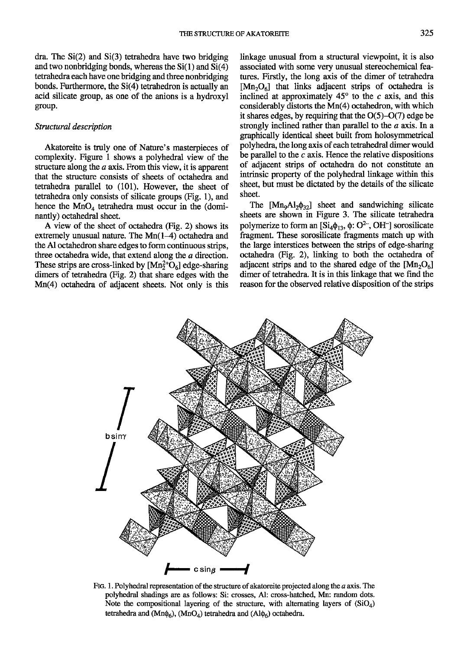dra. The  $Si(2)$  and  $Si(3)$  tetrahedra have two bridging and two nonbridging bonds, whereas the  $Si(1)$  and  $Si(4)$ tetrahedra each have one bridging and three nonbridging bonds. Furthermore, the  $Si(4)$  tetrahedron is actually an acid silicate group, as one of the anions is a hydroxyl group.

# Structural description

Akatoreite is truly one of Nature's masterpieces of complexity. Figure I shows a polyhedral view of the structure along the a axis. From this view, it is apparent that the structure consists of sheets of octahedra and tetrahedra parallel to (101). However, the sheet of tetrahedra only consists of silicate groups  $(Fig. 1)$ , and hence the  $MnO<sub>4</sub>$  tetrahedra must occur in the (dominantly) octahedral sheet.

A view of the sheet of octahedra (Fig. 2) shows its extremely unusual nature. The  $Mn(1-4)$  octahedra and the Al octahedron share edges to form continuous strips, three octahedra wide, that extend along the a direction. These strips are cross-linked by  $[Mn_2^{2+}O_6]$  edge-sharing dimers of tetrahedra (Fig. 2) that share edges with the Mn(4) octahedra of adjacent sheets. Not only is this linkage unusual from a structural viewpoint, it is also associated with some very unusual stereochemical features. Firstly, the long axis of the dimer of tetrahedra  $[Mn_2O_6]$  that links adjacent strips of octahedra is inclined at approximately  $45^{\circ}$  to the c axis, and this considerably distorts the Mn(4) octahedron, with which it shares edges, by requiring that the  $O(5)-O(7)$  edge be strongly inclined rather than parallel to the a axis. In a graphically identical sheet built from holosymmetrical polyhedra the long axis of each tetrahedral dimer would be parallel to the  $c$  axis. Hence the relative dispositions of adjacent strips of octahedra do not constitute an intrinsic property of the polyhedral linkage within this sheet, but must be dictated by the details of the silicate sheet.

The  $[Mn_9Al_2\phi_{32}]$  sheet and sandwiching silicate sheets are shown in Figure 3. The silicate tetrahedra polymerize to form an  $[Si_4\phi_{13}, \phi: O^{2-}$ , OH<sup>-</sup>] sorosilicate fragment. These sorosilicate fragments match up with the large interstices between the strips of edge-sharing octahedra (Fig. 2), linking to both the octahedra of adjacent strips and to the shared edge of the  $[Mn_2O_6]$ dimer of tetrahedra. It is in this linkage that we find the reason for the observed relative disposition of the strips



FIG. 1. Polyhedral representation of the structure of akatoreite projected along the  $a$  axis. The polyhedral shadings are as follows: Si: crosses, Al: cross-harched, Mn: random dots. Note the compositional layering of the structure, with alternating layers of  $(SiO<sub>4</sub>)$ tetrahedra and (Mn $\phi_6$ ), (MnO<sub>4</sub>) tetrahedra and (Al $\phi_6$ ) octahedra.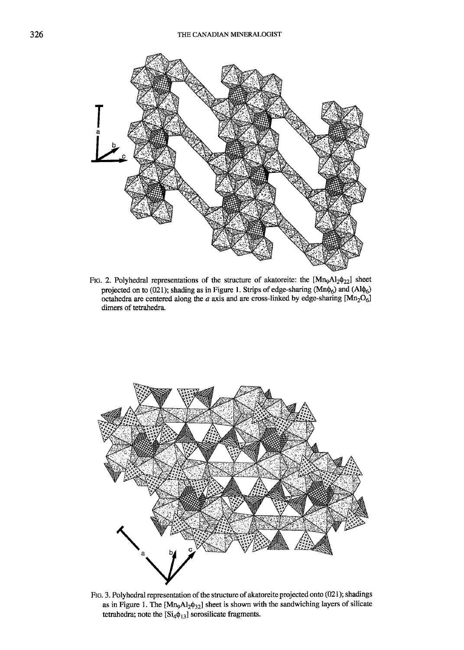

FIG. 2. Polyhedral representations of the structure of akatoreite: the  $[Mn<sub>9</sub>Al<sub>2</sub>\phi<sub>22</sub>]$  sheet projected on to (021); shading as in Figure 1. Strips of edge-sharing ( $Mn\phi_6$ ) and  $(Al\phi_6)$ octahedra are centered along the a axis and are cross-linked by edge-sharing  $[Mn_2O_6]$ dimers of tetrahedra.



FIG. 3. Polyhedral representation of the structure of akatoreite projected onto (021); shadings as in Figure 1. The  $[Mn<sub>9</sub>Al<sub>2</sub>φ<sub>32</sub>]$  sheet is shown with the sandwiching layers of silicate tetrahedra; note the  $[Si_4\phi_{13}]$  sorosilicate fragments.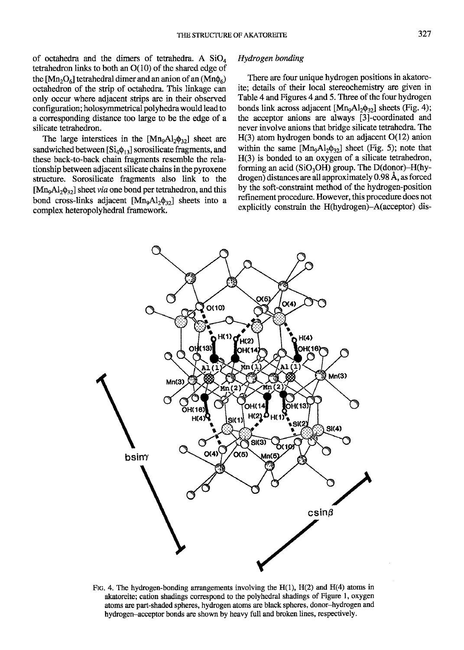of octahedra and the dimers of tetrahedra. A  $SiO<sub>4</sub>$ tetrahedron links to both an O(10) of the shared edge of the  $[Mn_2O_6]$  tetrahedral dimer and an anion of an  $(Mn\phi_6)$ octahedron of the strip of octahedra. This linkage can only occur where adjacent strips are in their observed configuration; holosymmetrical polyhedra would lead to a corresponding distance too large to be the edge of a silicate tetrahedron.

The large interstices in the  $[Mn_9A1_2\phi_{32}]$  sheet are sandwiched between  $[Si_4\phi_{13}]$  sorosilicate fragments, and these back-to-back chain fragments resemble the relationship between adjacent silicate chains in the pyroxene structure. Sorosilicate fragments also link to the [ $Mn<sub>9</sub>Al<sub>2</sub>$  $\phi$ <sub>32</sub>] sheet *via* one bond per tetrahedron, and this bond cross-links adjacent  $[Mn<sub>9</sub>Al<sub>2</sub>φ<sub>32</sub>]$  sheets into a complex heteropolyhedral framework.

## Hydrogen bonding

There are four unique hydrogen positions in akatoreite; details of their local stereochemistry are given in Table 4 and Figures 4 and 5 . Three of the four hydrogen bonds link across adjacent  $[Mn_0A_0A_0A_0]$  sheets (Fig. 4); the acceptor anions are always [3]-coordinated and never involve anions that bridge silicate tetrahedra. The  $H(3)$  atom hydrogen bonds to an adjacent  $O(12)$  anion within the same  $[Mn_0A_2\phi_{32}]$  sheet (Fig. 5); note that H(3) is bonded to an oxygen of a silicate tetrahedron, forming an acid ( $SiO<sub>3</sub>OH$ ) group. The D(donor)-H(hydrogen) distances are all approximately 0.98 A, as forced by the soft-constraint method of the hydrogen-position refinement procedure. However, this procedure does not explicitly constrain the H(hydrogen)-A(acceptor) dis-



Ftg. 4. The hydrogen-bonding arrangements involving the  $H(1)$ ,  $H(2)$  and  $H(4)$  atoms in akatoreite; cation shadings correspond to the polyhedral shadings of Figure l, oxygen atoms are part-shaded spheres, hydrogen atoms are black spheres, donor-iydrogen and hydrogen-acceptor bonds are shown by heavy full and broken lines, respectively.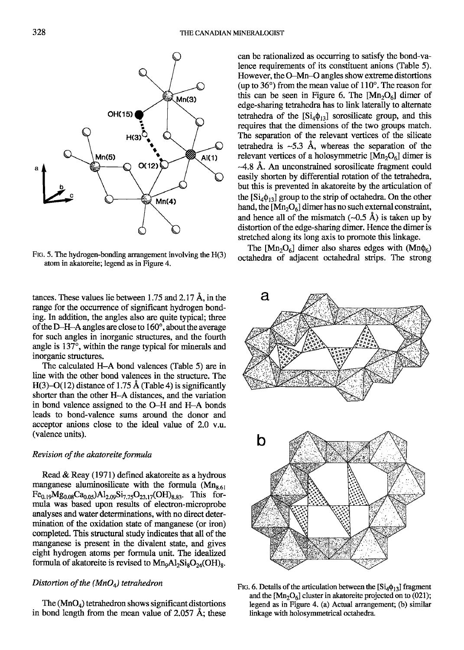

FIG. 5. The hydrogen-bonding arrangement involving the  $H(3)$ atom in akatoreite; legend as in Figure 4.

tances. These values lie between 1.75 and 2.17  $\AA$ , in the range for the occurrence of significant hydrogen bonding. In addition, the angles also are quite typical; three of the D-H-A angles are close to 160', about the average for such angles in inorganic structures, and the fourth angle is  $137^\circ$ , within the range typical for minerals and inorganic structures.

The calculated H-A bond valences (Table 5) are in line with the other bond valences in the structure. The H(3)–O(12) distance of 1.75 Å (Table 4) is significantly shorter than the other H-A distances, and the variation in bond valence assigned to the O-H and H-A bonds Ieads to bond-valence sums around the donor and acceptor anions close to the ideal value of 2.0 v.u. (valence units).

## Revision of the akatoreite formula

Read & Reay (1971) defined akatoreite as a hydrous manganese aluminosilicate with the formula  $(Mn<sub>8.61</sub>)$  $Fe_{0.19}Mg_{0.08}Ca_{0.05}Al_{2.09}Si_{7.75}O_{23.17} (OH)_{8.83}$ . This formula was based upon results of electron-microprobe analyses and water determinations, with no direct determination of the oxidation state of manganese (or iron) completed. This structural study indicates that all of the manganese is present in the divalent state, and gives eight hydrogen atorns per formula unit. The idealized formula of akatoreite is revised to  $Mn<sub>9</sub>Al<sub>2</sub>Si<sub>8</sub>O<sub>24</sub>(OH)<sub>8</sub>$ .

## Distortion of the  $(MnO<sub>4</sub>)$  tetrahedron

The  $(MnO<sub>4</sub>)$  tetrahedron shows significant distortions in bond length from the mean value of  $2.057 \text{ Å}$ ; these can be rationalized as occurring to satisfy the bond-valence requirements of its constituent anions (Table 5). However, the G-Mn-O angles show extreme distortions (up to  $36^{\circ}$ ) from the mean value of  $110^{\circ}$ . The reason for this can be seen in Figure 6. The  $[Mn_2O_6]$  dimer of edge-sharing tetrahedra has to link laterally to alternate tetrahedra of the  $[Si_4\phi_{13}]$  sorosilicate group, and this requires that the dimensions of the two groups match. The separation of the relevant vertices of the silicate tetrahedra is  $-5.3$  Å, whereas the separation of the relevant vertices of a holosymmetric  $[Mn_2O_6]$  dimer is -4.S A. An unconstrained sorosilicate fragment could easily shorten by differential rotation of the tetrahedra but this is prevented in akatoreite by the articulation of the  $[Si_4\phi_{13}]$  group to the strip of octahedra. On the other hand, the  $[Mn_2O_6]$  dimer has no such external constraint, and hence all of the mismatch  $(-0.5 \text{ Å})$  is taken up by distortion of the edge-sharing dimer. Hence the dimer is stretched along its long axis to promote this linkage.

The  $[Mn_2O_6]$  dimer also shares edges with  $(Mn\phi_6)$ octahedra of adjacent octahedral strips. The strong



FIG. 6. Details of the articulation between the  $[Si_4\phi_{13}]$  fragment and the  $[Mn_2O_6]$  cluster in akatoreite projected on to (021); legend as in Figure 4. (a) Actual arrangement; (b) similar linkage with holosymmetrical ocahedra.